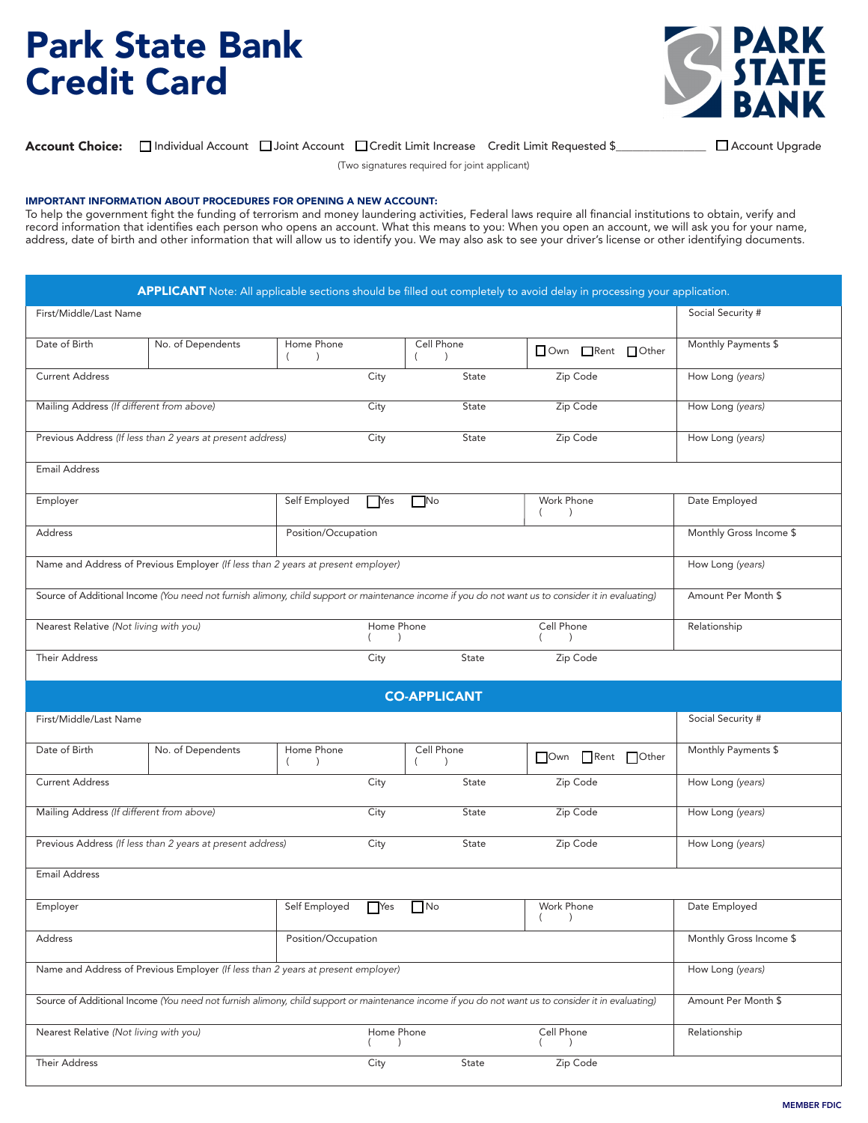## Park State Bank Credit Card



 $\Delta$ ccount Choice:  $\Box$  Individual Account:  $\Box$  loint Account:  $\Box$ Credit Limit Increase Credit Limit Requested  $\sin \Box$ **Account Choice:** □Individual Account □Joint Account □Credit Limit Increase Credit Limit Requested \$<br>
□Credit Limit Increase Credit Limit Requested \$

(Two signatures required for joint applicant) that will allow us to identify you. We may also ask to see you. We may also ask to see  $\alpha$ 

## IMPORTANT INFORMATION ABOUT PROCEDURES FOR OPENING A NEW ACCOUNT:

IMPORTANT INFORMATION ABOUT PROCEDURES FOR OPENING A NEW ACCOUNT:<br>To help the government fight the funding of terrorism and money laundering activities, Federal laws require all financial institutions to obtain, verify and Fortep the geven ment right the tanang of tenensin and money ladiationing detrices, I caetal land require an indirect institutions to obtain, verify and record information that identifies each person who opens an account. address, date of birth and other information that will allow us to identify you. We may also ask to see your driver's license or other identifying documents.

| First/Middle/Last Name                                                           |                                                                                  |                                     |                             |                             |                                                                                                                                                    | Social Security #       |
|----------------------------------------------------------------------------------|----------------------------------------------------------------------------------|-------------------------------------|-----------------------------|-----------------------------|----------------------------------------------------------------------------------------------------------------------------------------------------|-------------------------|
|                                                                                  |                                                                                  |                                     |                             |                             |                                                                                                                                                    |                         |
| Date of Birth                                                                    | No. of Dependents                                                                | Home Phone<br>$\left($<br>$\lambda$ |                             | Cell Phone<br>$\rightarrow$ | Own Rent Other                                                                                                                                     | Monthly Payments \$     |
| <b>Current Address</b>                                                           |                                                                                  |                                     | City                        | State                       | Zip Code                                                                                                                                           | How Long (years)        |
| Mailing Address (If different from above)                                        |                                                                                  |                                     | City                        | State                       | Zip Code                                                                                                                                           | How Long (years)        |
| Previous Address (If less than 2 years at present address)                       |                                                                                  |                                     |                             | State                       | Zip Code                                                                                                                                           | How Long (years)        |
| <b>Email Address</b>                                                             |                                                                                  |                                     |                             |                             |                                                                                                                                                    |                         |
| Employer                                                                         |                                                                                  | Self Employed                       | $\bigcap$ Yes               | $\n  N$                     | Work Phone<br>$\left($<br>$\lambda$                                                                                                                | Date Employed           |
| Address<br>Position/Occupation                                                   |                                                                                  |                                     |                             |                             | Monthly Gross Income \$                                                                                                                            |                         |
| Name and Address of Previous Employer (If less than 2 years at present employer) |                                                                                  |                                     |                             |                             | How Long (years)                                                                                                                                   |                         |
|                                                                                  |                                                                                  |                                     |                             |                             | Source of Additional Income (You need not furnish alimony, child support or maintenance income if you do not want us to consider it in evaluating) | Amount Per Month \$     |
| Nearest Relative (Not living with you)                                           |                                                                                  |                                     | Home Phone                  |                             | Cell Phone                                                                                                                                         | Relationship            |
| <b>Their Address</b>                                                             |                                                                                  |                                     | City                        | State                       | Zip Code                                                                                                                                           |                         |
|                                                                                  |                                                                                  |                                     |                             |                             |                                                                                                                                                    |                         |
|                                                                                  |                                                                                  |                                     |                             |                             |                                                                                                                                                    |                         |
|                                                                                  |                                                                                  |                                     |                             | <b>CO-APPLICANT</b>         |                                                                                                                                                    |                         |
| First/Middle/Last Name                                                           |                                                                                  |                                     |                             |                             |                                                                                                                                                    | Social Security #       |
|                                                                                  | No. of Dependents                                                                | Home Phone<br>$\lambda$<br>- 1      |                             | Cell Phone<br>$\lambda$     | Own Rent Other                                                                                                                                     | Monthly Payments \$     |
| Date of Birth<br><b>Current Address</b>                                          |                                                                                  |                                     | City                        | State                       | Zip Code                                                                                                                                           | How Long (years)        |
|                                                                                  |                                                                                  |                                     | City                        | State                       | Zip Code                                                                                                                                           | How Long (years)        |
| Mailing Address (If different from above)                                        | Previous Address (If less than 2 years at present address)                       |                                     | City                        | State                       | Zip Code                                                                                                                                           | How Long (years)        |
| <b>Email Address</b>                                                             |                                                                                  |                                     |                             |                             |                                                                                                                                                    |                         |
| Employer                                                                         |                                                                                  | Self Employed                       |                             | $Yes$ $No$                  | Work Phone<br>$\rightarrow$                                                                                                                        | Date Employed           |
| Address                                                                          |                                                                                  | Position/Occupation                 |                             |                             |                                                                                                                                                    | Monthly Gross Income \$ |
|                                                                                  | Name and Address of Previous Employer (If less than 2 years at present employer) |                                     |                             |                             |                                                                                                                                                    | How Long (years)        |
|                                                                                  |                                                                                  |                                     |                             |                             | Source of Additional Income (You need not furnish alimony, child support or maintenance income if you do not want us to consider it in evaluating) | Amount Per Month \$     |
| Nearest Relative (Not living with you)                                           |                                                                                  |                                     | Home Phone<br>$\rightarrow$ |                             | Cell Phone<br>$\lambda$                                                                                                                            | Relationship            |